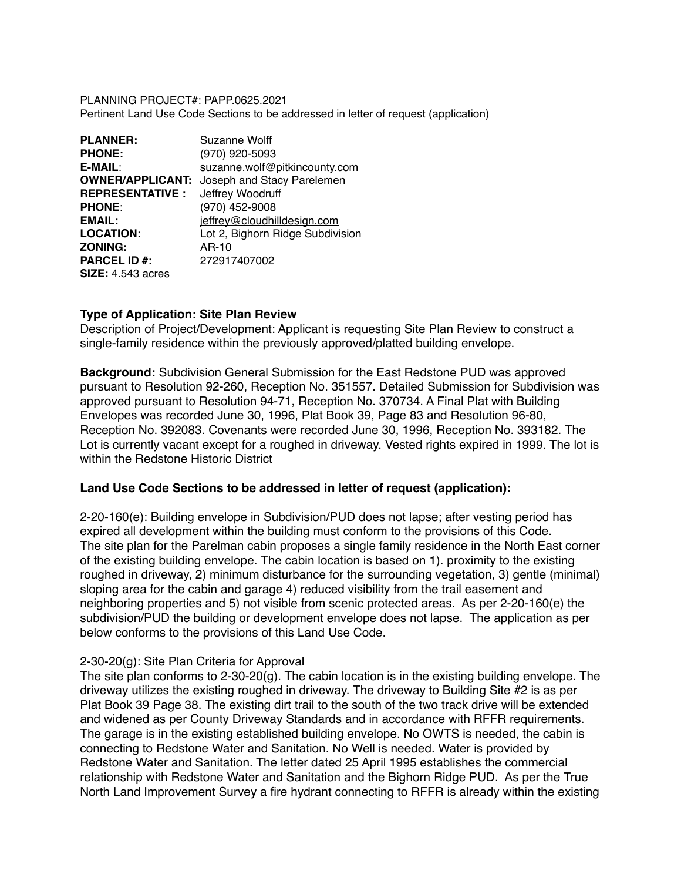PLANNING PROJECT#: PAPP.0625.2021 Pertinent Land Use Code Sections to be addressed in letter of request (application)

| <b>PLANNER:</b>          | Suzanne Wolff                    |
|--------------------------|----------------------------------|
| <b>PHONE:</b>            | (970) 920-5093                   |
| E-MAIL:                  | suzanne.wolf@pitkincounty.com    |
| <b>OWNER/APPLICANT:</b>  | Joseph and Stacy Parelemen       |
| <b>REPRESENTATIVE :</b>  | Jeffrey Woodruff                 |
| <b>PHONE:</b>            | (970) 452-9008                   |
| EMAIL:                   | jeffrey@cloudhilldesign.com      |
| <b>LOCATION:</b>         | Lot 2, Bighorn Ridge Subdivision |
| <b>ZONING:</b>           | AR-10                            |
| <b>PARCEL ID #:</b>      | 272917407002                     |
| <b>SIZE:</b> 4.543 acres |                                  |

# **Type of Application: Site Plan Review**

Description of Project/Development: Applicant is requesting Site Plan Review to construct a single-family residence within the previously approved/platted building envelope.

**Background:** Subdivision General Submission for the East Redstone PUD was approved pursuant to Resolution 92-260, Reception No. 351557. Detailed Submission for Subdivision was approved pursuant to Resolution 94-71, Reception No. 370734. A Final Plat with Building Envelopes was recorded June 30, 1996, Plat Book 39, Page 83 and Resolution 96-80, Reception No. 392083. Covenants were recorded June 30, 1996, Reception No. 393182. The Lot is currently vacant except for a roughed in driveway. Vested rights expired in 1999. The lot is within the Redstone Historic District

# **Land Use Code Sections to be addressed in letter of request (application):**

2-20-160(e): Building envelope in Subdivision/PUD does not lapse; after vesting period has expired all development within the building must conform to the provisions of this Code. The site plan for the Parelman cabin proposes a single family residence in the North East corner of the existing building envelope. The cabin location is based on 1). proximity to the existing roughed in driveway, 2) minimum disturbance for the surrounding vegetation, 3) gentle (minimal) sloping area for the cabin and garage 4) reduced visibility from the trail easement and neighboring properties and 5) not visible from scenic protected areas. As per 2-20-160(e) the subdivision/PUD the building or development envelope does not lapse. The application as per below conforms to the provisions of this Land Use Code.

#### 2-30-20(g): Site Plan Criteria for Approval

The site plan conforms to 2-30-20(g). The cabin location is in the existing building envelope. The driveway utilizes the existing roughed in driveway. The driveway to Building Site #2 is as per Plat Book 39 Page 38. The existing dirt trail to the south of the two track drive will be extended and widened as per County Driveway Standards and in accordance with RFFR requirements. The garage is in the existing established building envelope. No OWTS is needed, the cabin is connecting to Redstone Water and Sanitation. No Well is needed. Water is provided by Redstone Water and Sanitation. The letter dated 25 April 1995 establishes the commercial relationship with Redstone Water and Sanitation and the Bighorn Ridge PUD. As per the True North Land Improvement Survey a fire hydrant connecting to RFFR is already within the existing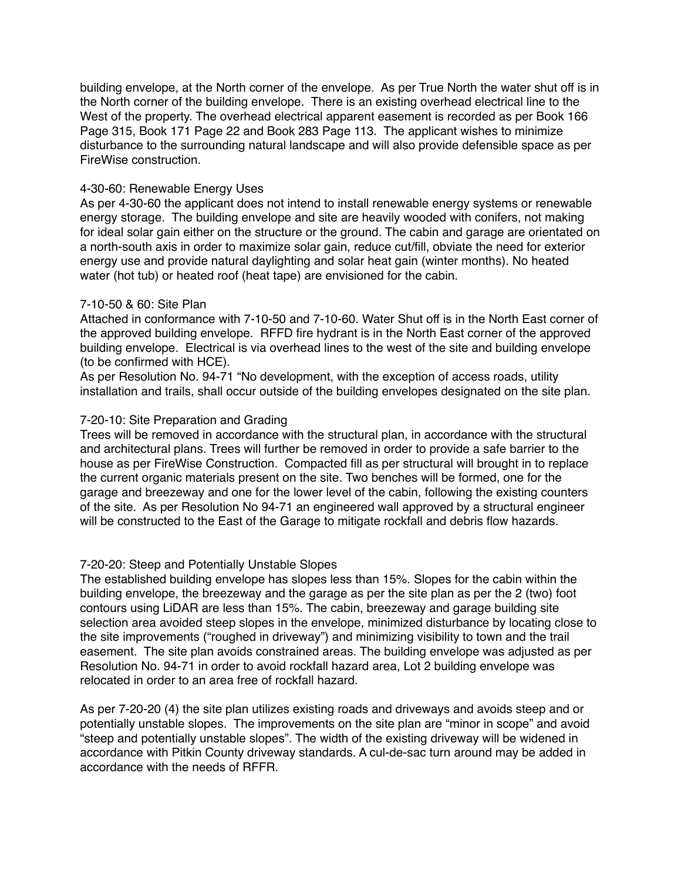building envelope, at the North corner of the envelope. As per True North the water shut off is in the North corner of the building envelope. There is an existing overhead electrical line to the West of the property. The overhead electrical apparent easement is recorded as per Book 166 Page 315, Book 171 Page 22 and Book 283 Page 113. The applicant wishes to minimize disturbance to the surrounding natural landscape and will also provide defensible space as per FireWise construction.

### 4-30-60: Renewable Energy Uses

As per 4-30-60 the applicant does not intend to install renewable energy systems or renewable energy storage. The building envelope and site are heavily wooded with conifers, not making for ideal solar gain either on the structure or the ground. The cabin and garage are orientated on a north-south axis in order to maximize solar gain, reduce cut/fill, obviate the need for exterior energy use and provide natural daylighting and solar heat gain (winter months). No heated water (hot tub) or heated roof (heat tape) are envisioned for the cabin.

## 7-10-50 & 60: Site Plan

Attached in conformance with 7-10-50 and 7-10-60. Water Shut off is in the North East corner of the approved building envelope. RFFD fire hydrant is in the North East corner of the approved building envelope. Electrical is via overhead lines to the west of the site and building envelope (to be confirmed with HCE).

As per Resolution No. 94-71 "No development, with the exception of access roads, utility installation and trails, shall occur outside of the building envelopes designated on the site plan.

## 7-20-10: Site Preparation and Grading

Trees will be removed in accordance with the structural plan, in accordance with the structural and architectural plans. Trees will further be removed in order to provide a safe barrier to the house as per FireWise Construction. Compacted fill as per structural will brought in to replace the current organic materials present on the site. Two benches will be formed, one for the garage and breezeway and one for the lower level of the cabin, following the existing counters of the site. As per Resolution No 94-71 an engineered wall approved by a structural engineer will be constructed to the East of the Garage to mitigate rockfall and debris flow hazards.

# 7-20-20: Steep and Potentially Unstable Slopes

The established building envelope has slopes less than 15%. Slopes for the cabin within the building envelope, the breezeway and the garage as per the site plan as per the 2 (two) foot contours using LiDAR are less than 15%. The cabin, breezeway and garage building site selection area avoided steep slopes in the envelope, minimized disturbance by locating close to the site improvements ("roughed in driveway") and minimizing visibility to town and the trail easement. The site plan avoids constrained areas. The building envelope was adjusted as per Resolution No. 94-71 in order to avoid rockfall hazard area, Lot 2 building envelope was relocated in order to an area free of rockfall hazard.

As per 7-20-20 (4) the site plan utilizes existing roads and driveways and avoids steep and or potentially unstable slopes. The improvements on the site plan are "minor in scope" and avoid "steep and potentially unstable slopes". The width of the existing driveway will be widened in accordance with Pitkin County driveway standards. A cul-de-sac turn around may be added in accordance with the needs of RFFR.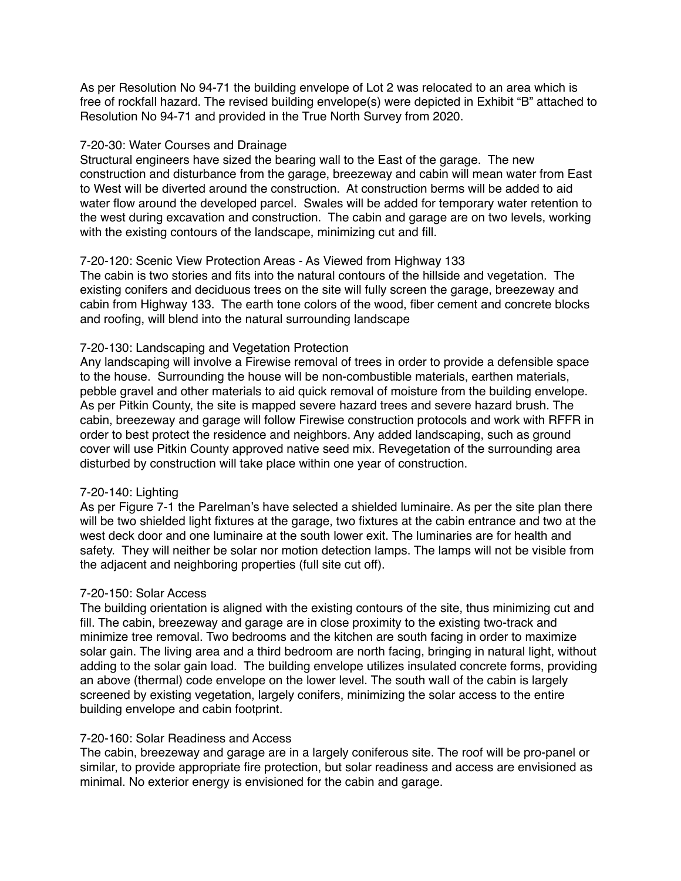As per Resolution No 94-71 the building envelope of Lot 2 was relocated to an area which is free of rockfall hazard. The revised building envelope(s) were depicted in Exhibit "B" attached to Resolution No 94-71 and provided in the True North Survey from 2020.

### 7-20-30: Water Courses and Drainage

Structural engineers have sized the bearing wall to the East of the garage. The new construction and disturbance from the garage, breezeway and cabin will mean water from East to West will be diverted around the construction. At construction berms will be added to aid water flow around the developed parcel. Swales will be added for temporary water retention to the west during excavation and construction. The cabin and garage are on two levels, working with the existing contours of the landscape, minimizing cut and fill.

# 7-20-120: Scenic View Protection Areas - As Viewed from Highway 133

The cabin is two stories and fits into the natural contours of the hillside and vegetation. The existing conifers and deciduous trees on the site will fully screen the garage, breezeway and cabin from Highway 133. The earth tone colors of the wood, fiber cement and concrete blocks and roofing, will blend into the natural surrounding landscape

## 7-20-130: Landscaping and Vegetation Protection

Any landscaping will involve a Firewise removal of trees in order to provide a defensible space to the house. Surrounding the house will be non-combustible materials, earthen materials, pebble gravel and other materials to aid quick removal of moisture from the building envelope. As per Pitkin County, the site is mapped severe hazard trees and severe hazard brush. The cabin, breezeway and garage will follow Firewise construction protocols and work with RFFR in order to best protect the residence and neighbors. Any added landscaping, such as ground cover will use Pitkin County approved native seed mix. Revegetation of the surrounding area disturbed by construction will take place within one year of construction.

#### 7-20-140: Lighting

As per Figure 7-1 the Parelman's have selected a shielded luminaire. As per the site plan there will be two shielded light fixtures at the garage, two fixtures at the cabin entrance and two at the west deck door and one luminaire at the south lower exit. The luminaries are for health and safety. They will neither be solar nor motion detection lamps. The lamps will not be visible from the adjacent and neighboring properties (full site cut off).

#### 7-20-150: Solar Access

The building orientation is aligned with the existing contours of the site, thus minimizing cut and fill. The cabin, breezeway and garage are in close proximity to the existing two-track and minimize tree removal. Two bedrooms and the kitchen are south facing in order to maximize solar gain. The living area and a third bedroom are north facing, bringing in natural light, without adding to the solar gain load. The building envelope utilizes insulated concrete forms, providing an above (thermal) code envelope on the lower level. The south wall of the cabin is largely screened by existing vegetation, largely conifers, minimizing the solar access to the entire building envelope and cabin footprint.

#### 7-20-160: Solar Readiness and Access

The cabin, breezeway and garage are in a largely coniferous site. The roof will be pro-panel or similar, to provide appropriate fire protection, but solar readiness and access are envisioned as minimal. No exterior energy is envisioned for the cabin and garage.